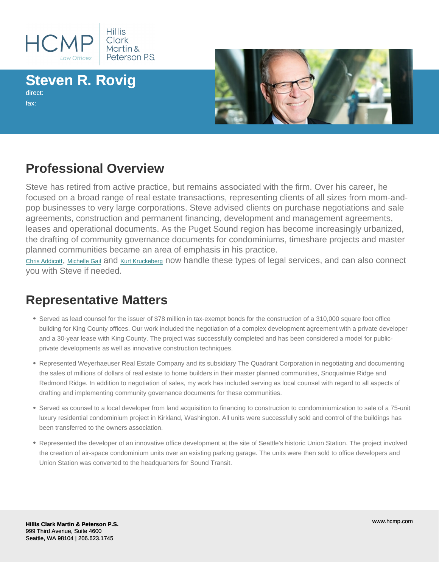# Steven R. Rovig

direct: fax:

### Professional Overview

Steve has retired from active practice, but remains associated with the firm. Over his career, he focused on a broad range of real estate transactions, representing clients of all sizes from mom-andpop businesses to very large corporations. Steve advised clients on purchase negotiations and sale agreements, construction and permanent financing, development and management agreements, leases and operational documents. As the Puget Sound region has become increasingly urbanized, the drafting of community governance documents for condominiums, timeshare projects and master planned communities became an area of emphasis in his practice.

[Chris Addicott](/profile/attorneys/d-christian-addicott-attorney), [Michelle Gail](/profile/attorneys/michelle-gail-attorney) and [Kurt Kruckeberg](/profile/attorneys/kurt-e-kruckeberg-attorney) now handle these types of legal services, and can also connect you with Steve if needed.

#### Representative Matters

- Served as lead counsel for the issuer of \$78 million in tax-exempt bonds for the construction of a 310,000 square foot office building for King County offices. Our work included the negotiation of a complex development agreement with a private developer and a 30-year lease with King County. The project was successfully completed and has been considered a model for publicprivate developments as well as innovative construction techniques.
- Represented Weyerhaeuser Real Estate Company and its subsidiary The Quadrant Corporation in negotiating and documenting the sales of millions of dollars of real estate to home builders in their master planned communities, Snoqualmie Ridge and Redmond Ridge. In addition to negotiation of sales, my work has included serving as local counsel with regard to all aspects of drafting and implementing community governance documents for these communities.
- Served as counsel to a local developer from land acquisition to financing to construction to condominiumization to sale of a 75-unit luxury residential condominium project in Kirkland, Washington. All units were successfully sold and control of the buildings has been transferred to the owners association.
- Represented the developer of an innovative office development at the site of Seattle's historic Union Station. The project involved the creation of air-space condominium units over an existing parking garage. The units were then sold to office developers and Union Station was converted to the headquarters for Sound Transit.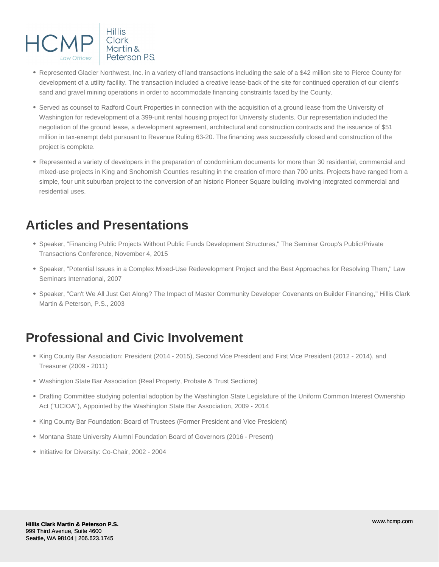

- Represented Glacier Northwest, Inc. in a variety of land transactions including the sale of a \$42 million site to Pierce County for development of a utility facility. The transaction included a creative lease-back of the site for continued operation of our client's sand and gravel mining operations in order to accommodate financing constraints faced by the County.
- Served as counsel to Radford Court Properties in connection with the acquisition of a ground lease from the University of Washington for redevelopment of a 399-unit rental housing project for University students. Our representation included the negotiation of the ground lease, a development agreement, architectural and construction contracts and the issuance of \$51 million in tax-exempt debt pursuant to Revenue Ruling 63-20. The financing was successfully closed and construction of the project is complete.
- Represented a variety of developers in the preparation of condominium documents for more than 30 residential, commercial and mixed-use projects in King and Snohomish Counties resulting in the creation of more than 700 units. Projects have ranged from a simple, four unit suburban project to the conversion of an historic Pioneer Square building involving integrated commercial and residential uses.

### **Articles and Presentations**

- Speaker, "Financing Public Projects Without Public Funds Development Structures," The Seminar Group's Public/Private Transactions Conference, November 4, 2015
- Speaker, "Potential Issues in a Complex Mixed-Use Redevelopment Project and the Best Approaches for Resolving Them," Law Seminars International, 2007
- Speaker, "Can't We All Just Get Along? The Impact of Master Community Developer Covenants on Builder Financing," Hillis Clark Martin & Peterson, P.S., 2003

### **Professional and Civic Involvement**

- King County Bar Association: President (2014 2015), Second Vice President and First Vice President (2012 2014), and Treasurer (2009 - 2011)
- Washington State Bar Association (Real Property, Probate & Trust Sections)
- Drafting Committee studying potential adoption by the Washington State Legislature of the Uniform Common Interest Ownership Act ("UCIOA"), Appointed by the Washington State Bar Association, 2009 - 2014
- King County Bar Foundation: Board of Trustees (Former President and Vice President)
- Montana State University Alumni Foundation Board of Governors (2016 Present)
- Initiative for Diversity: Co-Chair, 2002 2004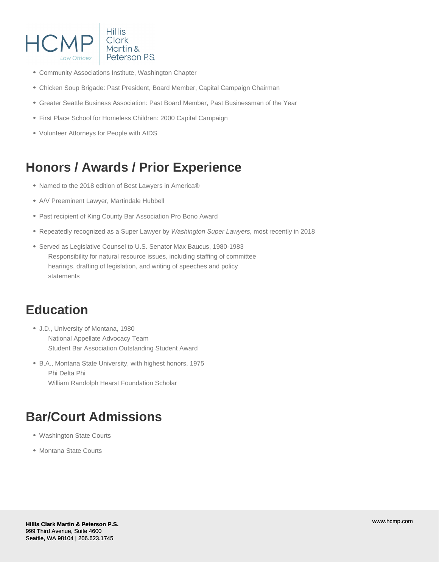

- Community Associations Institute, Washington Chapter
- Chicken Soup Brigade: Past President, Board Member, Capital Campaign Chairman
- Greater Seattle Business Association: Past Board Member, Past Businessman of the Year
- First Place School for Homeless Children: 2000 Capital Campaign
- Volunteer Attorneys for People with AIDS

## **Honors / Awards / Prior Experience**

- Named to the 2018 edition of Best Lawyers in America®
- A/V Preeminent Lawyer, Martindale Hubbell
- Past recipient of King County Bar Association Pro Bono Award
- Repeatedly recognized as a Super Lawyer by Washington Super Lawyers, most recently in 2018
- Served as Legislative Counsel to U.S. Senator Max Baucus, 1980-1983 Responsibility for natural resource issues, including staffing of committee hearings, drafting of legislation, and writing of speeches and policy statements

### **Education**

- J.D., University of Montana, 1980 National Appellate Advocacy Team Student Bar Association Outstanding Student Award
- B.A., Montana State University, with highest honors, 1975 Phi Delta Phi William Randolph Hearst Foundation Scholar

## **Bar/Court Admissions**

- Washington State Courts
- Montana State Courts